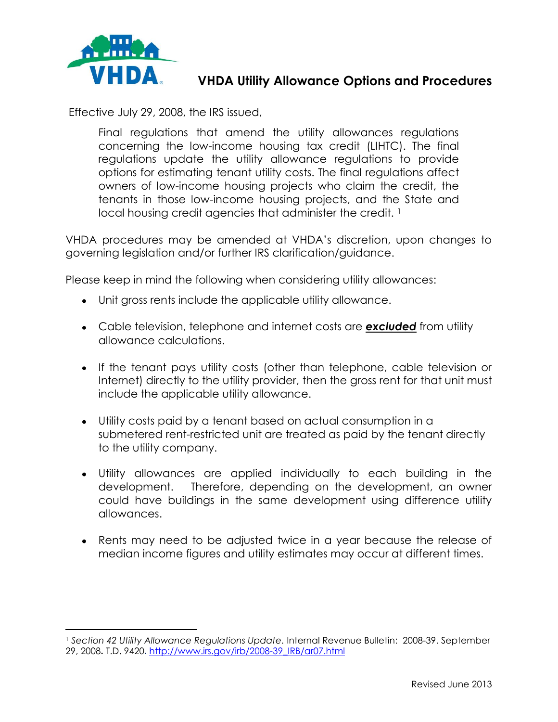

l

## **VHDA Utility Allowance Options and Procedures**

Effective July 29, 2008, the IRS issued,

Final regulations that amend the utility allowances regulations concerning the low-income housing tax credit (LIHTC). The final regulations update the utility allowance regulations to provide options for estimating tenant utility costs. The final regulations affect owners of low-income housing projects who claim the credit, the tenants in those low-income housing projects, and the State and local housing credit agencies that administer the credit.<sup>1</sup>

VHDA procedures may be amended at VHDA's discretion, upon changes to governing legislation and/or further IRS clarification/guidance.

Please keep in mind the following when considering utility allowances:

- Unit gross rents include the applicable utility allowance.
- Cable television, telephone and internet costs are *excluded* from utility allowance calculations.
- If the tenant pays utility costs (other than telephone, cable television or Internet) directly to the utility provider, then the gross rent for that unit must include the applicable utility allowance.
- Utility costs paid by a tenant based on actual consumption in a submetered rent-restricted unit are treated as paid by the tenant directly to the utility company.
- Utility allowances are applied individually to each building in the development. Therefore, depending on the development, an owner could have buildings in the same development using difference utility allowances.
- Rents may need to be adjusted twice in a year because the release of median income figures and utility estimates may occur at different times.

<sup>1</sup> *Section 42 Utility Allowance Regulations Update.* Internal Revenue Bulletin: 2008-39. September 29, 2008**.** T.D. 9420**.** [http://www.irs.gov/irb/2008-39\\_IRB/ar07.html](http://www.irs.gov/irb/2008-39_IRB/ar07.html)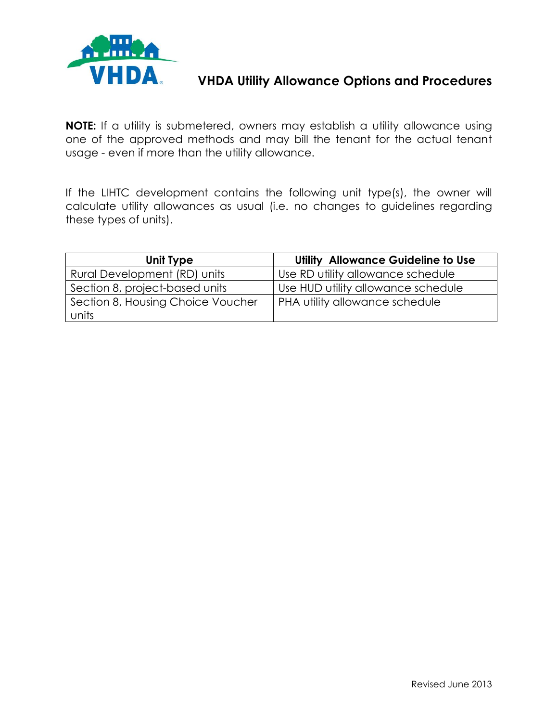

# **VHDA Utility Allowance Options and Procedures**

**NOTE:** If a utility is submetered, owners may establish a utility allowance using one of the approved methods and may bill the tenant for the actual tenant usage - even if more than the utility allowance.

If the LIHTC development contains the following unit type(s), the owner will calculate utility allowances as usual (i.e. no changes to guidelines regarding these types of units).

| Unit Type                                  | Utility Allowance Guideline to Use |
|--------------------------------------------|------------------------------------|
| Rural Development (RD) units               | Use RD utility allowance schedule  |
| Section 8, project-based units             | Use HUD utility allowance schedule |
| Section 8, Housing Choice Voucher<br>units | PHA utility allowance schedule     |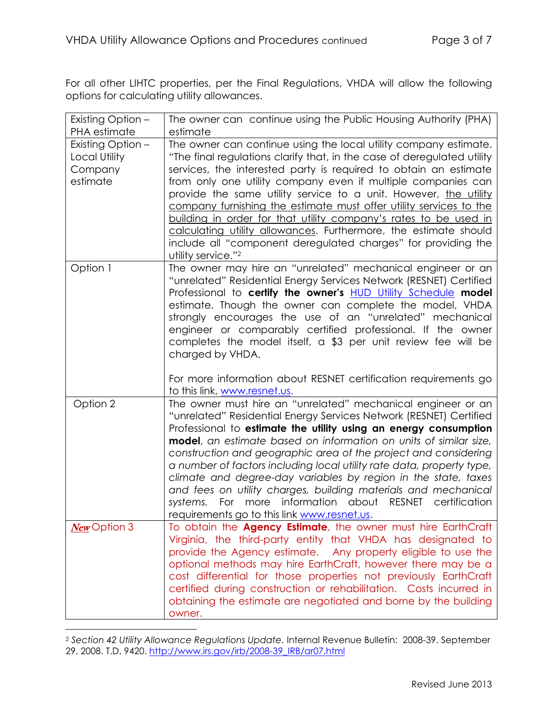For all other LIHTC properties, per the Final Regulations, VHDA will allow the following options for calculating utility allowances.

| Existing Option -                                         | The owner can continue using the Public Housing Authority (PHA)                                                                                                                                                                                                                                                                                                                                                                                                                                                                                                                                                                                                              |
|-----------------------------------------------------------|------------------------------------------------------------------------------------------------------------------------------------------------------------------------------------------------------------------------------------------------------------------------------------------------------------------------------------------------------------------------------------------------------------------------------------------------------------------------------------------------------------------------------------------------------------------------------------------------------------------------------------------------------------------------------|
| PHA estimate                                              | estimate                                                                                                                                                                                                                                                                                                                                                                                                                                                                                                                                                                                                                                                                     |
| Existing Option -<br>Local Utility<br>Company<br>estimate | The owner can continue using the local utility company estimate.<br>"The final regulations clarify that, in the case of deregulated utility<br>services, the interested party is required to obtain an estimate<br>from only one utility company even if multiple companies can<br>provide the same utility service to a unit. However, the utility<br>company furnishing the estimate must offer utility services to the<br>building in order for that utility company's rates to be used in<br>calculating utility allowances. Furthermore, the estimate should<br>include all "component deregulated charges" for providing the<br>utility service." <sup>2</sup>         |
| Option 1                                                  | The owner may hire an "unrelated" mechanical engineer or an<br>"unrelated" Residential Energy Services Network (RESNET) Certified<br>Professional to certify the owner's <b>HUD Utility Schedule</b> model<br>estimate. Though the owner can complete the model, VHDA<br>strongly encourages the use of an "unrelated" mechanical<br>engineer or comparably certified professional. If the owner<br>completes the model itself, a \$3 per unit review fee will be<br>charged by VHDA.<br>For more information about RESNET certification requirements go                                                                                                                     |
|                                                           | to this link, www.resnet.us.                                                                                                                                                                                                                                                                                                                                                                                                                                                                                                                                                                                                                                                 |
| Option 2                                                  | The owner must hire an "unrelated" mechanical engineer or an<br>"unrelated" Residential Energy Services Network (RESNET) Certified<br>Professional to estimate the utility using an energy consumption<br>model, an estimate based on information on units of similar size,<br>construction and geographic area of the project and considering<br>a number of factors including local utility rate data, property type,<br>climate and degree-day variables by region in the state, taxes<br>and fees on utility charges, building materials and mechanical<br>For more information about RESNET<br>systems.<br>certification<br>requirements go to this link www.resnet.us. |
| New Option 3                                              | To obtain the <b>Agency Estimate</b> , the owner must hire EarthCraft<br>Virginia, the third-party entity that VHDA has designated to<br>provide the Agency estimate. Any property eligible to use the<br>optional methods may hire EarthCraft, however there may be a<br>cost differential for those properties not previously EarthCraft<br>certified during construction or rehabilitation. Costs incurred in<br>obtaining the estimate are negotiated and borne by the building<br>owner.                                                                                                                                                                                |

<sup>2</sup> *Section 42 Utility Allowance Regulations Update.* Internal Revenue Bulletin: 2008-39. September 29, 2008. T.D. 9420. [http://www.irs.gov/irb/2008-39\\_IRB/ar07.html](http://www.irs.gov/irb/2008-39_IRB/ar07.html)

l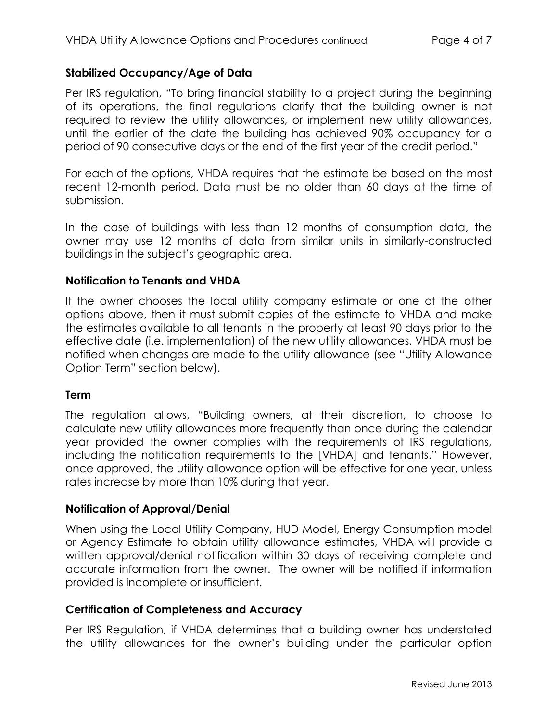#### **Stabilized Occupancy/Age of Data**

Per IRS regulation, "To bring financial stability to a project during the beginning of its operations, the final regulations clarify that the building owner is not required to review the utility allowances, or implement new utility allowances, until the earlier of the date the building has achieved 90% occupancy for a period of 90 consecutive days or the end of the first year of the credit period."

For each of the options, VHDA requires that the estimate be based on the most recent 12-month period. Data must be no older than 60 days at the time of submission.

In the case of buildings with less than 12 months of consumption data, the owner may use 12 months of data from similar units in similarly-constructed buildings in the subject's geographic area.

#### **Notification to Tenants and VHDA**

If the owner chooses the local utility company estimate or one of the other options above, then it must submit copies of the estimate to VHDA and make the estimates available to all tenants in the property at least 90 days prior to the effective date (i.e. implementation) of the new utility allowances. VHDA must be notified when changes are made to the utility allowance (see "Utility Allowance Option Term" section below).

#### **Term**

The regulation allows, "Building owners, at their discretion, to choose to calculate new utility allowances more frequently than once during the calendar year provided the owner complies with the requirements of IRS regulations, including the notification requirements to the [VHDA] and tenants." However, once approved, the utility allowance option will be effective for one year, unless rates increase by more than 10% during that year.

#### **Notification of Approval/Denial**

When using the Local Utility Company, HUD Model, Energy Consumption model or Agency Estimate to obtain utility allowance estimates, VHDA will provide a written approval/denial notification within 30 days of receiving complete and accurate information from the owner. The owner will be notified if information provided is incomplete or insufficient.

#### **Certification of Completeness and Accuracy**

Per IRS Regulation, if VHDA determines that a building owner has understated the utility allowances for the owner's building under the particular option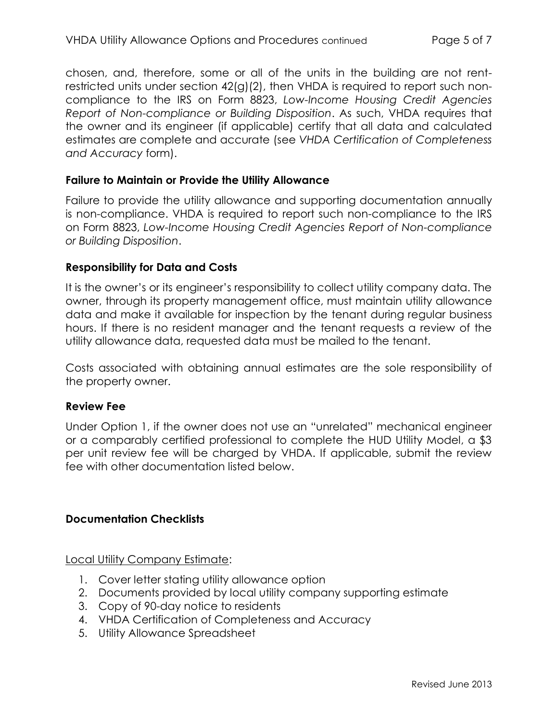chosen, and, therefore, some or all of the units in the building are not rentrestricted units under section 42(g)(2), then VHDA is required to report such noncompliance to the IRS on Form 8823, *Low-Income Housing Credit Agencies Report of Non-compliance or Building Disposition*. As such, VHDA requires that the owner and its engineer (if applicable) certify that all data and calculated estimates are complete and accurate (see *VHDA Certification of Completeness and Accuracy* form).

#### **Failure to Maintain or Provide the Utility Allowance**

Failure to provide the utility allowance and supporting documentation annually is non-compliance. VHDA is required to report such non-compliance to the IRS on Form 8823, *Low-Income Housing Credit Agencies Report of Non-compliance or Building Disposition*.

#### **Responsibility for Data and Costs**

It is the owner's or its engineer's responsibility to collect utility company data. The owner, through its property management office, must maintain utility allowance data and make it available for inspection by the tenant during regular business hours. If there is no resident manager and the tenant requests a review of the utility allowance data, requested data must be mailed to the tenant.

Costs associated with obtaining annual estimates are the sole responsibility of the property owner.

#### **Review Fee**

Under Option 1, if the owner does not use an "unrelated" mechanical engineer or a comparably certified professional to complete the HUD Utility Model, a \$3 per unit review fee will be charged by VHDA. If applicable, submit the review fee with other documentation listed below.

### **Documentation Checklists**

Local Utility Company Estimate:

- 1. Cover letter stating utility allowance option
- 2. Documents provided by local utility company supporting estimate
- 3. Copy of 90-day notice to residents
- 4. VHDA Certification of Completeness and Accuracy
- 5. Utility Allowance Spreadsheet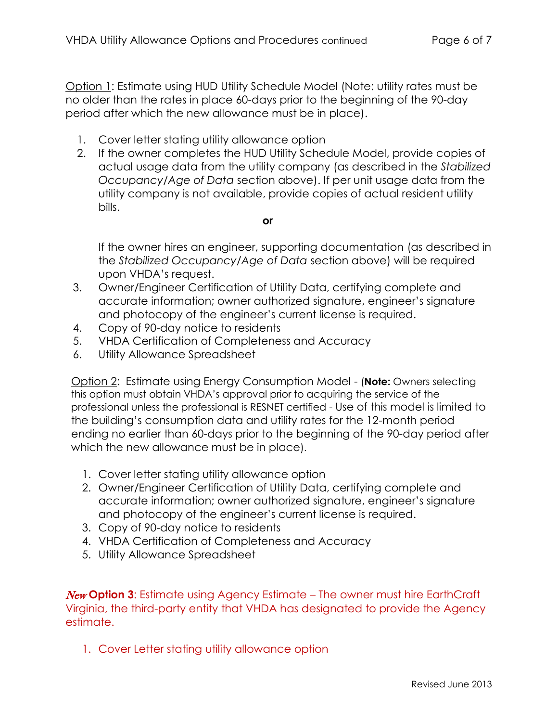Option 1: Estimate using HUD Utility Schedule Model (Note: utility rates must be no older than the rates in place 60-days prior to the beginning of the 90-day period after which the new allowance must be in place).

- 1. Cover letter stating utility allowance option
- 2. If the owner completes the HUD Utility Schedule Model, provide copies of actual usage data from the utility company (as described in the *Stabilized Occupancy/Age of Data* section above). If per unit usage data from the utility company is not available, provide copies of actual resident utility bills.

#### **or**

If the owner hires an engineer, supporting documentation (as described in the *Stabilized Occupancy/Age of Data* section above) will be required upon VHDA's request.

- 3. Owner/Engineer Certification of Utility Data, certifying complete and accurate information; owner authorized signature, engineer's signature and photocopy of the engineer's current license is required.
- 4. Copy of 90-day notice to residents
- 5. VHDA Certification of Completeness and Accuracy
- 6. Utility Allowance Spreadsheet

Option 2: Estimate using Energy Consumption Model - (**Note:** Owners selecting this option must obtain VHDA's approval prior to acquiring the service of the professional unless the professional is RESNET certified - Use of this model is limited to the building's consumption data and utility rates for the 12-month period ending no earlier than 60-days prior to the beginning of the 90-day period after which the new allowance must be in place).

- 1. Cover letter stating utility allowance option
- 2. Owner/Engineer Certification of Utility Data, certifying complete and accurate information; owner authorized signature, engineer's signature and photocopy of the engineer's current license is required.
- 3. Copy of 90-day notice to residents
- 4. VHDA Certification of Completeness and Accuracy
- 5. Utility Allowance Spreadsheet

New **Option 3**: Estimate using Agency Estimate – The owner must hire EarthCraft Virginia, the third-party entity that VHDA has designated to provide the Agency estimate.

1. Cover Letter stating utility allowance option